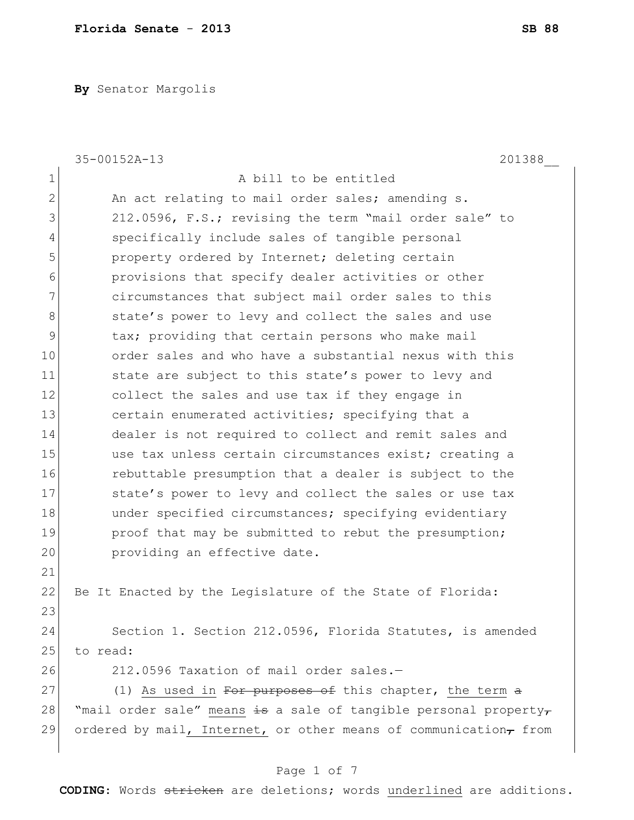**By** Senator Margolis

|                | 35-00152A-13<br>201388                                           |
|----------------|------------------------------------------------------------------|
| $\mathbf 1$    | A bill to be entitled                                            |
| $\overline{2}$ | An act relating to mail order sales; amending s.                 |
| 3              | 212.0596, F.S.; revising the term "mail order sale" to           |
| $\overline{4}$ | specifically include sales of tangible personal                  |
| 5              | property ordered by Internet; deleting certain                   |
| 6              | provisions that specify dealer activities or other               |
| 7              | circumstances that subject mail order sales to this              |
| 8              | state's power to levy and collect the sales and use              |
| 9              | tax; providing that certain persons who make mail                |
| 10             | order sales and who have a substantial nexus with this           |
| 11             | state are subject to this state's power to levy and              |
| 12             | collect the sales and use tax if they engage in                  |
| 13             | certain enumerated activities; specifying that a                 |
| 14             | dealer is not required to collect and remit sales and            |
| 15             | use tax unless certain circumstances exist; creating a           |
| 16             | rebuttable presumption that a dealer is subject to the           |
| 17             | state's power to levy and collect the sales or use tax           |
| 18             | under specified circumstances; specifying evidentiary            |
| 19             | proof that may be submitted to rebut the presumption;            |
| 20             | providing an effective date.                                     |
| 21             |                                                                  |
| 22             | Be It Enacted by the Legislature of the State of Florida:        |
| 23             |                                                                  |
| 24             | Section 1. Section 212.0596, Florida Statutes, is amended        |
| 25             | to read:                                                         |
| 26             | 212.0596 Taxation of mail order sales.-                          |
| 27             | (1) As used in For purposes of this chapter, the term a          |
| 28             | "mail order sale" means is a sale of tangible personal property- |
| 29             | ordered by mail, Internet, or other means of communication, from |
|                |                                                                  |

# Page 1 of 7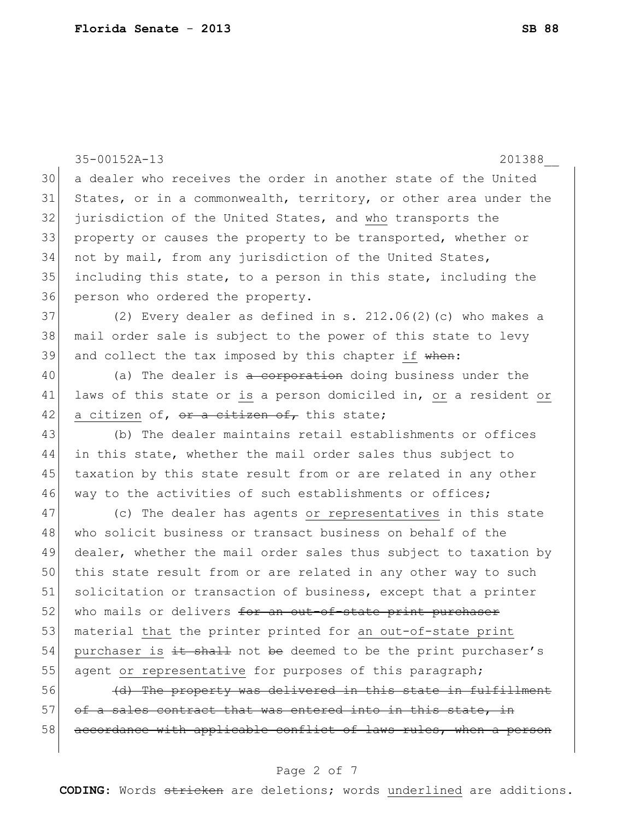35-00152A-13 201388\_\_ 30 a dealer who receives the order in another state of the United 31 States, or in a commonwealth, territory, or other area under the 32 jurisdiction of the United States, and who transports the 33 property or causes the property to be transported, whether or 34 not by mail, from any jurisdiction of the United States, 35 including this state, to a person in this state, including the 36 person who ordered the property.  $37$  (2) Every dealer as defined in s.  $212.06(2)$  (c) who makes a 38 mail order sale is subject to the power of this state to levy 39 and collect the tax imposed by this chapter if  $\theta$  when: 40 (a) The dealer is a corporation doing business under the 41 laws of this state or is a person domiciled in, or a resident or  $42$  a citizen of, or a citizen of, this state; 43 (b) The dealer maintains retail establishments or offices 44 in this state, whether the mail order sales thus subject to 45 taxation by this state result from or are related in any other 46 way to the activities of such establishments or offices; 47 (c) The dealer has agents or representatives in this state 48 who solicit business or transact business on behalf of the 49 dealer, whether the mail order sales thus subject to taxation by 50 this state result from or are related in any other way to such 51 solicitation or transaction of business, except that a printer 52 who mails or delivers for an out-of-state print purchaser 53 material that the printer printed for an out-of-state print  $54$  purchaser is  $\pm t$  shall not be deemed to be the print purchaser's 55 agent or representative for purposes of this paragraph; 56 (d) The property was delivered in this state in fulfillment 57 of a sales contract that was entered into in this state, in 58 accordance with applicable conflict of laws rules, when a person

### Page 2 of 7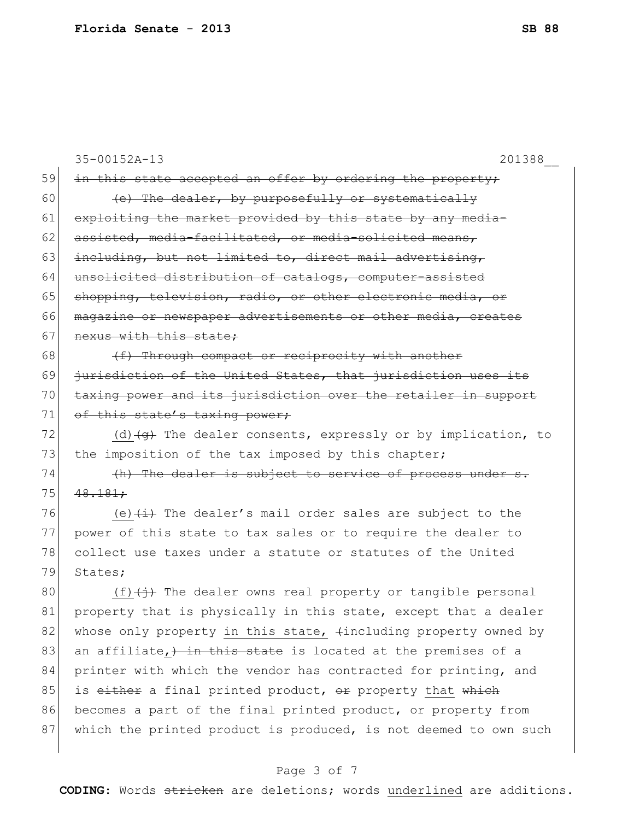|        | 35-00152A-13<br>201388                                                            |
|--------|-----------------------------------------------------------------------------------|
| 59     | in this state accepted an offer by ordering the property;                         |
| 60     | (e) The dealer, by purposefully or systematically                                 |
| 61     | exploiting the market provided by this state by any media-                        |
| 62     | assisted, media-facilitated, or media-solicited means,                            |
| 63     | including, but not limited to, direct mail advertising,                           |
| 64     | unsolicited distribution of catalogs, computer-assisted                           |
| 65     | shopping, television, radio, or other electronic media, or                        |
| 66     | magazine or newspaper advertisements or other media, creates                      |
| 67     | nexus with this state;                                                            |
| 68     | (f) Through compact or reciprocity with another                                   |
| 69     | jurisdiction of the United States, that jurisdiction uses its                     |
| 70     | taxing power and its jurisdiction over the retailer in support                    |
| 71     | of this state's taxing power;                                                     |
| 72     | (d) $\left( q\right)$ The dealer consents, expressly or by implication, to        |
| 73     | the imposition of the tax imposed by this chapter;                                |
| 74     | (h) The dealer is subject to service of process under s.                          |
| 75     | 48.181:                                                                           |
| 76     | (e) $\overline{+i}$ The dealer's mail order sales are subject to the              |
| 77     | power of this state to tax sales or to require the dealer to                      |
| 78     | collect use taxes under a statute or statutes of the United                       |
| 79     | States;                                                                           |
| 80     | $(f)$ $\overleftrightarrow{f}$ The dealer owns real property or tangible personal |
| $8\,1$ | property that is physically in this state, except that a dealer                   |
| 82     | whose only property in this state, $\{$ including property owned by               |
| 83     | an affiliate, him this state is located at the premises of a                      |
| 84     | printer with which the vendor has contracted for printing, and                    |
| 85     | is either a final printed product, or property that which                         |
| 86     | becomes a part of the final printed product, or property from                     |
| 87     | which the printed product is produced, is not deemed to own such                  |
|        |                                                                                   |

# Page 3 of 7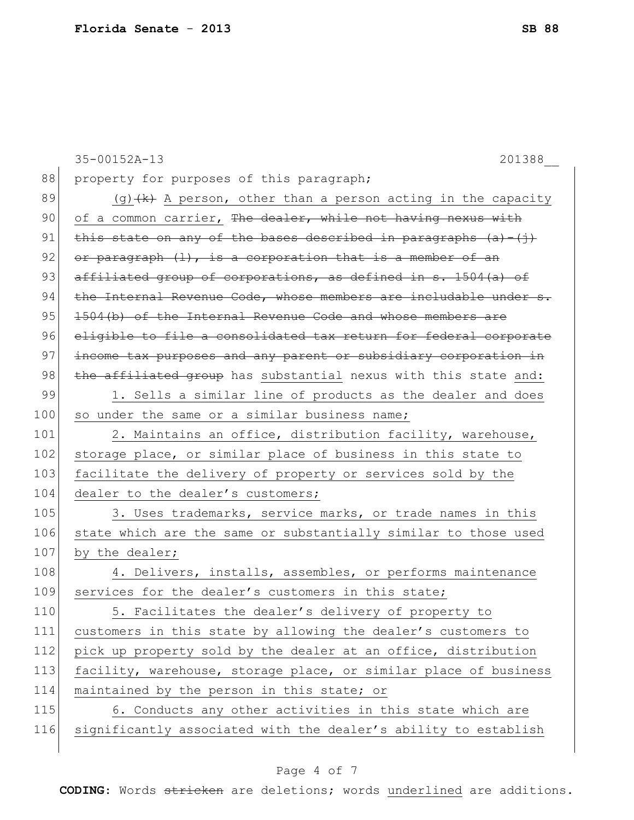|     | 35-00152A-13<br>201388                                             |
|-----|--------------------------------------------------------------------|
| 88  | property for purposes of this paragraph;                           |
| 89  | $(g)$ $(k)$ A person, other than a person acting in the capacity   |
| 90  | of a common carrier, The dealer, while not having nexus with       |
| 91  | this state on any of the bases described in paragraphs $(a) - (i)$ |
| 92  | or paragraph $(1)$ , is a corporation that is a member of an       |
| 93  | affiliated group of corporations, as defined in s. 1504(a) of      |
| 94  | the Internal Revenue Code, whose members are includable under s.   |
| 95  | 1504(b) of the Internal Revenue Code and whose members are         |
| 96  | eligible to file a consolidated tax return for federal corporate   |
| 97  | income tax purposes and any parent or subsidiary corporation in    |
| 98  | the affiliated group has substantial nexus with this state and:    |
| 99  | 1. Sells a similar line of products as the dealer and does         |
| 100 | so under the same or a similar business name;                      |
| 101 | 2. Maintains an office, distribution facility, warehouse,          |
| 102 | storage place, or similar place of business in this state to       |
| 103 | facilitate the delivery of property or services sold by the        |
| 104 | dealer to the dealer's customers;                                  |
| 105 | 3. Uses trademarks, service marks, or trade names in this          |
| 106 | state which are the same or substantially similar to those used    |
| 107 | by the dealer;                                                     |
| 108 | 4. Delivers, installs, assembles, or performs maintenance          |
| 109 | services for the dealer's customers in this state;                 |
| 110 | 5. Facilitates the dealer's delivery of property to                |
| 111 | customers in this state by allowing the dealer's customers to      |
| 112 | pick up property sold by the dealer at an office, distribution     |
| 113 | facility, warehouse, storage place, or similar place of business   |
| 114 | maintained by the person in this state; or                         |
| 115 | 6. Conducts any other activities in this state which are           |
| 116 | significantly associated with the dealer's ability to establish    |
|     |                                                                    |

# Page 4 of 7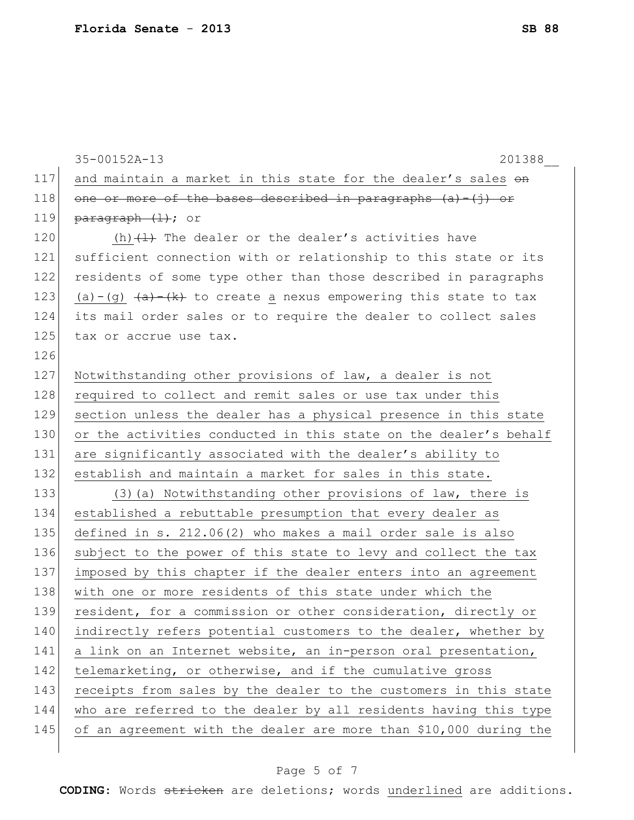|     | 35-00152A-13<br>201388                                                                   |
|-----|------------------------------------------------------------------------------------------|
| 117 | and maintain a market in this state for the dealer's sales on                            |
| 118 | one or more of the bases described in paragraphs $(a) - (j)$ or                          |
| 119 | $\frac{parent(+)}{+}$ ; or                                                               |
| 120 | (h) $(1)$ The dealer or the dealer's activities have                                     |
| 121 | sufficient connection with or relationship to this state or its                          |
| 122 | residents of some type other than those described in paragraphs                          |
| 123 | (a)-(g) $\overline{(a)}$ $\overline{(k)}$ to create a nexus empowering this state to tax |
| 124 | its mail order sales or to require the dealer to collect sales                           |
| 125 | tax or accrue use tax.                                                                   |
| 126 |                                                                                          |
| 127 | Notwithstanding other provisions of law, a dealer is not                                 |
| 128 | required to collect and remit sales or use tax under this                                |
| 129 | section unless the dealer has a physical presence in this state                          |
| 130 | or the activities conducted in this state on the dealer's behalf                         |
| 131 | are significantly associated with the dealer's ability to                                |
| 132 | establish and maintain a market for sales in this state.                                 |
| 133 | (3) (a) Notwithstanding other provisions of law, there is                                |
| 134 | established a rebuttable presumption that every dealer as                                |
| 135 | defined in s. 212.06(2) who makes a mail order sale is also                              |
| 136 | subject to the power of this state to levy and collect the tax                           |
| 137 | imposed by this chapter if the dealer enters into an agreement                           |
| 138 | with one or more residents of this state under which the                                 |
| 139 | resident, for a commission or other consideration, directly or                           |
| 140 | indirectly refers potential customers to the dealer, whether by                          |
| 141 | a link on an Internet website, an in-person oral presentation,                           |
| 142 | telemarketing, or otherwise, and if the cumulative gross                                 |
| 143 | receipts from sales by the dealer to the customers in this state                         |
| 144 | who are referred to the dealer by all residents having this type                         |
| 145 | of an agreement with the dealer are more than \$10,000 during the                        |
|     |                                                                                          |

# Page 5 of 7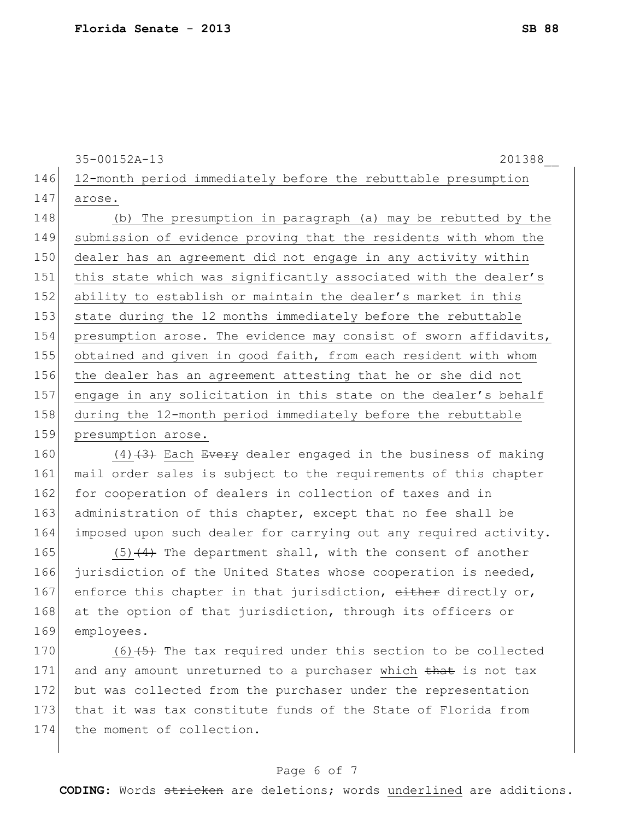35-00152A-13 201388\_\_

146 12-month period immediately before the rebuttable presumption 147 arose.

148 (b) The presumption in paragraph (a) may be rebutted by the 149 submission of evidence proving that the residents with whom the 150 dealer has an agreement did not engage in any activity within 151 this state which was significantly associated with the dealer's 152 ability to establish or maintain the dealer's market in this 153 state during the 12 months immediately before the rebuttable 154 presumption arose. The evidence may consist of sworn affidavits, 155 obtained and given in good faith, from each resident with whom 156 the dealer has an agreement attesting that he or she did not 157 engage in any solicitation in this state on the dealer's behalf 158 during the 12-month period immediately before the rebuttable 159 presumption arose.

160  $(4)$   $(3)$  Each Every dealer engaged in the business of making 161 mail order sales is subject to the requirements of this chapter 162 for cooperation of dealers in collection of taxes and in 163 administration of this chapter, except that no fee shall be 164 imposed upon such dealer for carrying out any required activity.

165  $(5)$  (5) $(4)$  The department shall, with the consent of another 166 jurisdiction of the United States whose cooperation is needed, 167 enforce this chapter in that jurisdiction, either directly or, 168 at the option of that jurisdiction, through its officers or 169 employees.

170  $(6)$   $(5)$  The tax required under this section to be collected 171 and any amount unreturned to a purchaser which that is not tax 172 but was collected from the purchaser under the representation 173 that it was tax constitute funds of the State of Florida from 174 the moment of collection.

### Page 6 of 7